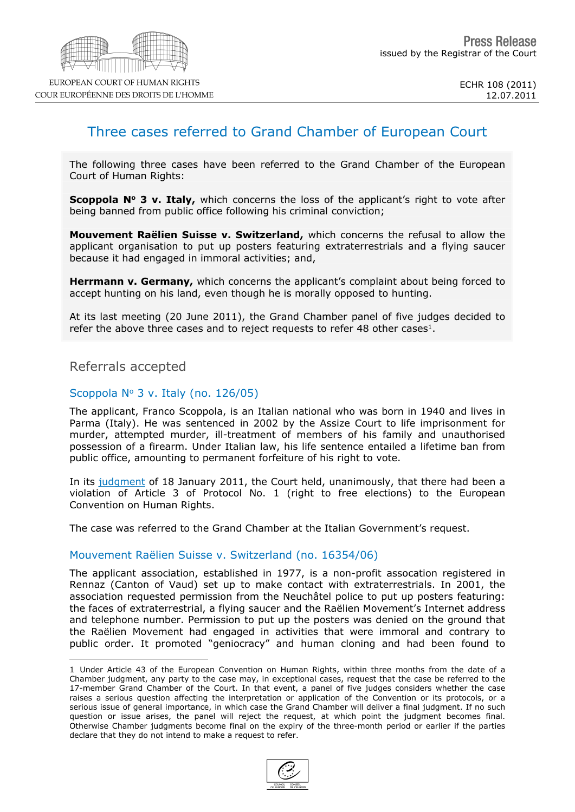

## Three cases referred to Grand Chamber of European Court

The following three cases have been referred to the Grand Chamber of the European Court of Human Rights:

**Scoppola N<sup>o</sup> 3 v. Italy,** which concerns the loss of the applicant's right to vote after being banned from public office following his criminal conviction;

**Mouvement Raëlien Suisse v. Switzerland,** which concerns the refusal to allow the applicant organisation to put up posters featuring extraterrestrials and a flying saucer because it had engaged in immoral activities; and,

**Herrmann v. Germany,** which concerns the applicant's complaint about being forced to accept hunting on his land, even though he is morally opposed to hunting.

At its last meeting (20 June 2011), the Grand Chamber panel of five judges decided to refer the above three cases and to reject requests to refer 48 other cases $1$ .

Referrals accepted

## Scoppola  $N^{\circ}$  3 v. Italy (no. 126/05)

The applicant, Franco Scoppola, is an Italian national who was born in 1940 and lives in Parma (Italy). He was sentenced in 2002 by the Assize Court to life imprisonment for murder, attempted murder, ill-treatment of members of his family and unauthorised possession of a firearm. Under Italian law, his life sentence entailed a lifetime ban from public office, amounting to permanent forfeiture of his right to vote.

In its [judgment](http://cmiskp.echr.coe.int/tkp197/view.asp?action=html&documentId=879946&portal=hbkm&source=externalbydocnumber&table=F69A27FD8FB86142BF01C1166DEA398649) of 18 January 2011, the Court held, unanimously, that there had been a violation of Article 3 of Protocol No. 1 (right to free elections) to the European Convention on Human Rights.

The case was referred to the Grand Chamber at the Italian Government's request.

## Mouvement Raëlien Suisse v. Switzerland (no. 16354/06)

The applicant association, established in 1977, is a non-profit assocation registered in Rennaz (Canton of Vaud) set up to make contact with extraterrestrials. In 2001, the association requested permission from the Neuchâtel police to put up posters featuring: the faces of extraterrestrial, a flying saucer and the Raëlien Movement's Internet address and telephone number. Permission to put up the posters was denied on the ground that the Raëlien Movement had engaged in activities that were immoral and contrary to public order. It promoted "geniocracy" and human cloning and had been found to

<sup>1</sup> Under Article 43 of the European Convention on Human Rights, within three months from the date of a Chamber judgment, any party to the case may, in exceptional cases, request that the case be referred to the 17-member Grand Chamber of the Court. In that event, a panel of five judges considers whether the case raises a serious question affecting the interpretation or application of the Convention or its protocols, or a serious issue of general importance, in which case the Grand Chamber will deliver a final judgment. If no such question or issue arises, the panel will reject the request, at which point the judgment becomes final. Otherwise Chamber judgments become final on the expiry of the three-month period or earlier if the parties declare that they do not intend to make a request to refer.

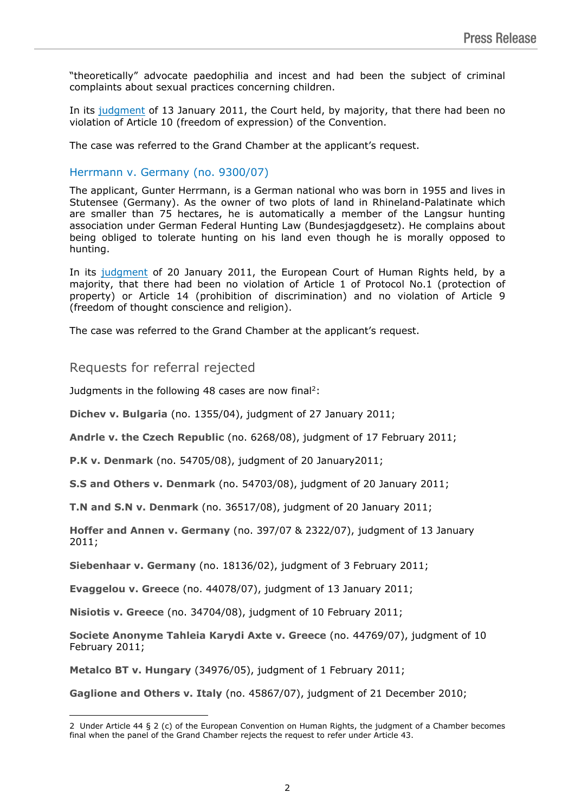"theoretically" advocate paedophilia and incest and had been the subject of criminal complaints about sexual practices concerning children.

In its [judgment](http://cmiskp.echr.coe.int/tkp197/view.asp?action=html&documentId=879858&portal=hbkm&source=externalbydocnumber&table=F69A27FD8FB86142BF01C1166DEA398649) of 13 January 2011, the Court held, by majority, that there had been no violation of Article 10 (freedom of expression) of the Convention.

The case was referred to the Grand Chamber at the applicant's request.

## Herrmann v. Germany (no. 9300/07)

The applicant, Gunter Herrmann, is a German national who was born in 1955 and lives in Stutensee (Germany). As the owner of two plots of land in Rhineland-Palatinate which are smaller than 75 hectares, he is automatically a member of the Langsur hunting association under German Federal Hunting Law (Bundesjagdgesetz). He complains about being obliged to tolerate hunting on his land even though he is morally opposed to hunting.

In its [judgment](http://cmiskp.echr.coe.int/tkp197/view.asp?action=html&documentId=880224&portal=hbkm&source=externalbydocnumber&table=F69A27FD8FB86142BF01C1166DEA398649) of 20 January 2011, the European Court of Human Rights held, by a majority, that there had been no violation of Article 1 of Protocol No.1 (protection of property) or Article 14 (prohibition of discrimination) and no violation of Article 9 (freedom of thought conscience and religion).

The case was referred to the Grand Chamber at the applicant's request.

Requests for referral rejected

Judgments in the following 48 cases are now final<sup>2</sup>:

**Dichev v. Bulgaria** (no. 1355/04), judgment of 27 January 2011;

**Andrle v. the Czech Republic** (no. 6268/08), judgment of 17 February 2011;

**P.K v. Denmark** (no. 54705/08), judgment of 20 January2011;

**S.S and Others v. Denmark** (no. 54703/08), judgment of 20 January 2011;

**T.N and S.N v. Denmark** (no. 36517/08), judgment of 20 January 2011;

**Hoffer and Annen v. Germany** (no. 397/07 & 2322/07), judgment of 13 January 2011;

**Siebenhaar v. Germany** (no. 18136/02), judgment of 3 February 2011;

**Evaggelou v. Greece** (no. 44078/07), judgment of 13 January 2011;

**Nisiotis v. Greece** (no. 34704/08), judgment of 10 February 2011;

**Societe Anonyme Tahleia Karydi Axte v. Greece** (no. 44769/07), judgment of 10 February 2011;

**Metalco BT v. Hungary** (34976/05), judgment of 1 February 2011;

**Gaglione and Others v. Italy** (no. 45867/07), judgment of 21 December 2010;

<sup>2</sup> Under Article 44 § 2 (c) of the European Convention on Human Rights, the judgment of a Chamber becomes final when the panel of the Grand Chamber rejects the request to refer under Article 43.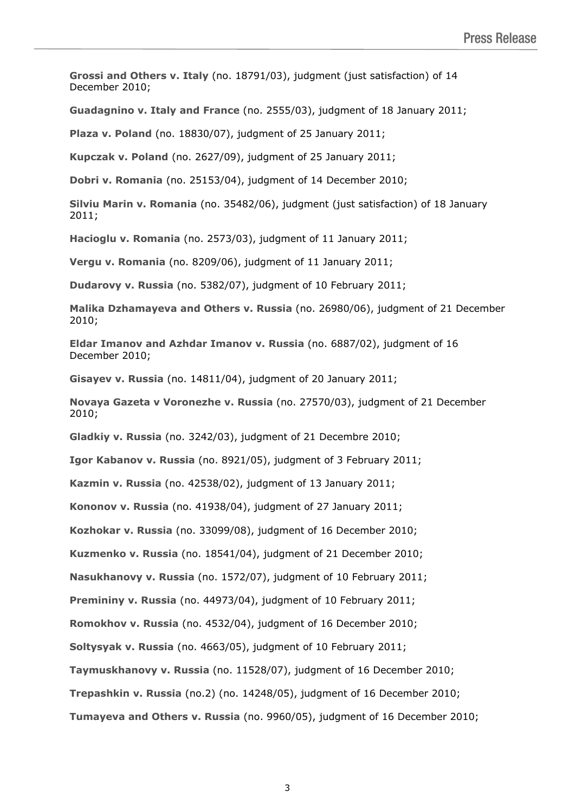**Grossi and Others v. Italy** (no. 18791/03), judgment (just satisfaction) of 14 December 2010;

**Guadagnino v. Italy and France** (no. 2555/03), judgment of 18 January 2011;

**Plaza v. Poland** (no. 18830/07), judgment of 25 January 2011;

**Kupczak v. Poland** (no. 2627/09), judgment of 25 January 2011;

**Dobri v. Romania** (no. 25153/04), judgment of 14 December 2010;

**Silviu Marin v. Romania** (no. 35482/06), judgment (just satisfaction) of 18 January 2011;

**Hacioglu v. Romania** (no. 2573/03), judgment of 11 January 2011;

**Vergu v. Romania** (no. 8209/06), judgment of 11 January 2011;

**Dudarovy v. Russia** (no. 5382/07), judgment of 10 February 2011;

**Malika Dzhamayeva and Others v. Russia** (no. 26980/06), judgment of 21 December 2010;

**Eldar Imanov and Azhdar Imanov v. Russia** (no. 6887/02), judgment of 16 December 2010;

**Gisayev v. Russia** (no. 14811/04), judgment of 20 January 2011;

**Novaya Gazeta v Voronezhe v. Russia** (no. 27570/03), judgment of 21 December 2010;

**Gladkiy v. Russia** (no. 3242/03), judgment of 21 Decembre 2010;

**Igor Kabanov v. Russia** (no. 8921/05), judgment of 3 February 2011;

**Kazmin v. Russia** (no. 42538/02), judgment of 13 January 2011;

**Kononov v. Russia** (no. 41938/04), judgment of 27 January 2011;

**Kozhokar v. Russia** (no. 33099/08), judgment of 16 December 2010;

**Kuzmenko v. Russia** (no. 18541/04), judgment of 21 December 2010;

**Nasukhanovy v. Russia** (no. 1572/07), judgment of 10 February 2011;

**Premininy v. Russia** (no. 44973/04), judgment of 10 February 2011;

**Romokhov v. Russia** (no. 4532/04), judgment of 16 December 2010;

**Soltysyak v. Russia** (no. 4663/05), judgment of 10 February 2011;

**Taymuskhanovy v. Russia** (no. 11528/07), judgment of 16 December 2010;

**Trepashkin v. Russia** (no.2) (no. 14248/05), judgment of 16 December 2010;

**Tumayeva and Others v. Russia** (no. 9960/05), judgment of 16 December 2010;